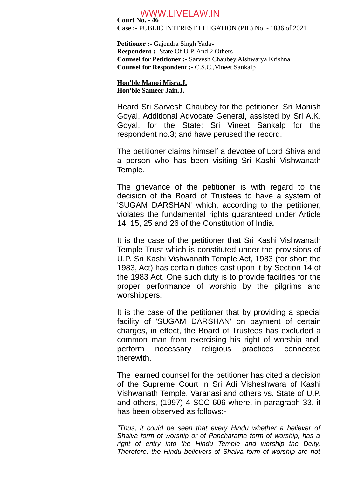## WWW.LIVELAW.IN

**Court No. - 46 Case :-** PUBLIC INTEREST LITIGATION (PIL) No. - 1836 of 2021

**Petitioner :-** Gajendra Singh Yadav **Respondent :-** State Of U.P. And 2 Others **Counsel for Petitioner :-** Sarvesh Chaubey,Aishwarya Krishna **Counsel for Respondent :-** C.S.C.,Vineet Sankalp

**Hon'ble Manoj Misra,J. Hon'ble Sameer Jain,J.**

Heard Sri Sarvesh Chaubey for the petitioner; Sri Manish Goyal, Additional Advocate General, assisted by Sri A.K. Goyal, for the State; Sri Vineet Sankalp for the respondent no.3; and have perused the record.

The petitioner claims himself a devotee of Lord Shiva and a person who has been visiting Sri Kashi Vishwanath Temple.

The grievance of the petitioner is with regard to the decision of the Board of Trustees to have a system of 'SUGAM DARSHAN' which, according to the petitioner, violates the fundamental rights guaranteed under Article 14, 15, 25 and 26 of the Constitution of India.

It is the case of the petitioner that Sri Kashi Vishwanath Temple Trust which is constituted under the provisions of U.P. Sri Kashi Vishwanath Temple Act, 1983 (for short the 1983, Act) has certain duties cast upon it by Section 14 of the 1983 Act. One such duty is to provide facilities for the proper performance of worship by the pilgrims and worshippers.

It is the case of the petitioner that by providing a special facility of 'SUGAM DARSHAN' on payment of certain charges, in effect, the Board of Trustees has excluded a common man from exercising his right of worship and perform necessary religious practices connected therewith.

The learned counsel for the petitioner has cited a decision of the Supreme Court in Sri Adi Visheshwara of Kashi Vishwanath Temple, Varanasi and others vs. State of U.P. and others, (1997) 4 SCC 606 where, in paragraph 33, it has been observed as follows:-

*"Thus, it could be seen that every Hindu whether a believer of Shaiva form of worship or of Pancharatna form of worship, has a right of entry into the Hindu Temple and worship the Deity, Therefore, the Hindu believers of Shaiva form of worship are not*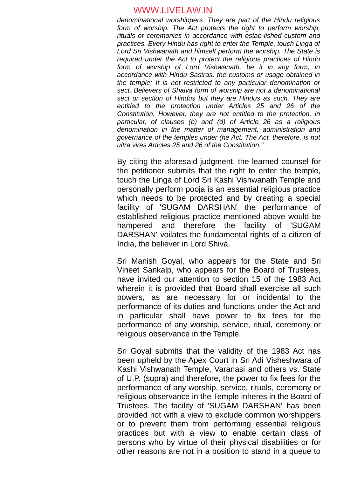## WWW.LIVELAW.IN

*denominational worshippers. They are part of the Hindu religious form of worship. The Act protects the right to perform worship, rituals or ceremonies in accordance with estab-lished custom and practices. Every Hindu has right to enter the Temple, touch Linga of Lord Sri Vishwanath and himself perform the worship. The State is required under the Act to protect the religious practices of Hindu form of worship of Lord Vishwanath, be it in any form, in accordance with Hindu Sastras, the customs or usage obtained in the temple; It is not restricted to any particular denomination or sect. Believers of Shaiva form of worship are not a denominational sect or section of Hindus but they are Hindus as such. They are entitled to the protection under Articles 25 and 26 of the Constitution. However, they are not entitled to the protection, in particular, of clauses (b) and (d) of Article 26 as a religious denomination in the matter of management, administration and governance of the temples under (he Act. The Act, therefore, is not ultra vires Articles 25 and 26 of the Constitution."*

By citing the aforesaid judgment, the learned counsel for the petitioner submits that the right to enter the temple, touch the Linga of Lord Sri Kashi Vishwanath Temple and personally perform pooja is an essential religious practice which needs to be protected and by creating a special facility of 'SUGAM DARSHAN' the performance of established religious practice mentioned above would be hampered and therefore the facility of 'SUGAM DARSHAN' voilates the fundamental rights of a citizen of India, the believer in Lord Shiva.

Sri Manish Goyal, who appears for the State and Sri Vineet Sankalp, who appears for the Board of Trustees, have invited our attention to section 15 of the 1983 Act wherein it is provided that Board shall exercise all such powers, as are necessary for or incidental to the performance of its duties and functions under the Act and in particular shall have power to fix fees for the performance of any worship, service, ritual, ceremony or religious observance in the Temple.

Sri Goyal submits that the validity of the 1983 Act has been upheld by the Apex Court in Sri Adi Visheshwara of Kashi Vishwanath Temple, Varanasi and others vs. State of U.P. (supra) and therefore, the power to fix fees for the performance of any worship, service, rituals, ceremony or religious observance in the Temple inheres in the Board of Trustees. The facility of 'SUGAM DARSHAN' has been provided not with a view to exclude common worshippers or to prevent them from performing essential religious practices but with a view to enable certain class of persons who by virtue of their physical disabilities or for other reasons are not in a position to stand in a queue to